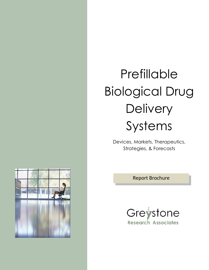# Prefillable Biological Drug **Delivery** Systems

Devices, Markets, Therapeutics, Strategies, & Forecasts

Report Brochure



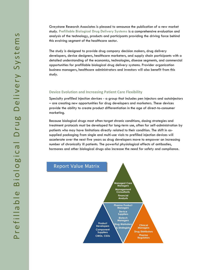Greystone Research Associates is pleased to announce the publication of a new market study. **Prefillable Biological Drug Delivery Systems** is a comprehensive evaluation and analysis of the technology, products and participants providing the driving force behind this evolving segment of the healthcare sector.

The study is designed to provide drug company decision makers, drug delivery developers, device designers, healthcare marketers, and supply chain participants with a detailed understanding of the economics, technologies, disease segments, and commercial opportunities for prefillable biological drug delivery systems. Provider organization business managers, healthcare administrators and investors will also benefit from this study.

### **Device Evolution and Increasing Patient Care Flexibility**

Specialty prefilled injection devices - a group that includes pen injectors and autoinjectors – are creating new opportunities for drug developers and marketers. These devices provide the ability to create product differentiation in the age of direct-to-consumer marketing.

Because biological drugs most often target chronic conditions, dosing strategies and treatment protocols must be developed for long-term use, often for self-administration by patients who may have limitations directly related to their condition. The shift in assupplied packaging from single and multi-use vials to prefilled injection devices will accelerate over the next five years as drug developers move to empower an increasing number of chronically ill patients. The powerful physiological effects of antibodies, hormones and other biological drugs also increase the need for safety and compliance.

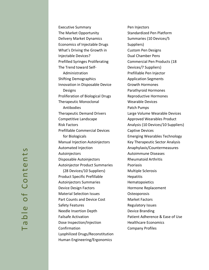Table of Contents  $\Omega$ t  $\mathbf{\Omega}$  $\overline{\mathbf{C}}$  $\overline{\phantom{0}}$  $\overline{O}$  $\overline{}$  $\mathbf{O}$  $\mathbf{D}$  $\Omega$  $\boldsymbol{\sigma}$ 

Executive Summary The Market Opportunity Delivery Market Dynamics Economics of Injectable Drugs What's Driving the Growth in Injectable Devices? Prefilled Syringes Proliferating The Trend toward Self - Administration Shifting Demographics Innovation in Disposable Device **Designs** Proliferation of Biological Drugs Therapeutic Monoclonal Antibodies Therapeutic Demand Drivers Competitive Landscape Risk Factors Prefillable Commercial Devices for Biologicals Manual Injection Autoinjectors Automated Injection Autoinjectors Disposable Autoinjectors Autoinjector Product Summaries (28 Devices/10 Suppliers) Product Specific Prefillable Autoinjectors Summaries Device Design Factors Material Selection Issues Part Counts and Device Cost Safety Features Needle Insertion Depth Failsafe Activation Dose Inspection/Injection Confirmation Lyophilized Drugs/Reconstitution Human Engineering/Ergonomics

Pen Injectors Standardized Pen Platform Summaries (10 Devices/5 Suppliers) Custom Pen Designs Dual Chamber Pens Commercial Pen Products (18 Devices/7 Suppliers) Prefillable Pen Injector Application Segments Growth Hormones Parathyroid Hormones Reproductive Hormones Wearable Devices Patch Pumps Large Volume Wearable Devices Approved Wearables Product Analysis (10 Devices/10 Suppliers) Captive Devices Emerging Wearables Technology Key Therapeutic Sector Analysis Anaphylaxis/Countermeasures Autoimmune Diseases Rheumatoid Arthritis Psoriasis Multiple Sclerosis Hepatitis **Hematopoietics** Hormone Replacement Osteoporosis Market Factors Regulatory Issues Device Branding Patient Adherence & Ease of Use Healthcare Economics Company Profiles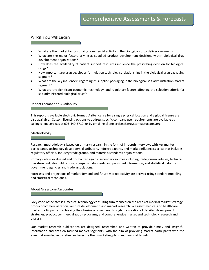## What You Will Learn

- What are the market factors driving commercial activity in the biologicals drug delivery segment?
- What are the major factors driving as-supplied product development decisions within biological drug development organizations?
- How does the availability of patient support resources influence the prescribing decision for biological drugs?
- How important are drug developer-formulation technologist relationships in the biological drug packaging segment?
- What are the key influencers regarding as-supplied packaging in the biological self-administration market segment?
- What are the significant economic, technology, and regulatory factors affecting the selection criteria for self-administered biological drugs?

### Report Format and Availability

This report is available electronic format. A site license for a single physical location and a global license are also available. Custom licensing options to address specific company user requirements are available by calling client services at 603-440-5710, or by emailing clientservices@greystoneassociates.org.

#### Methodology

Research methodology is based on primary research in the form of in-depth interviews with key market participants, technology developers, distributors, industry experts, and market influencers, a list that includes regulatory officials, industry trade groups, and materials standards organizations.

Primary data is evaluated and normalized against secondary sources including trade journal articles, technical literature, industry publications, company data sheets and published information, and statistical data from government agencies and trade associations.

Forecasts and projections of market demand and future market activity are derived using standard modeling and statistical techniques.

### About Greystone Associates

Greystone Associates is a medical technology consulting firm focused on the areas of medical market strategy, product commercialization, venture development, and market research. We assist medical and healthcare market participants in achieving their business objectives through the creation of detailed development strategies, product commercialization programs, and comprehensive market and technology research and analysis.

Our market research publications are designed, researched and written to provide timely and insightful information and data on focused market segments, with the aim of providing market participants with the essential knowledge to refine and execute their marketing plans and financial targets.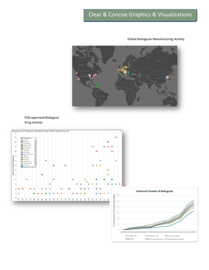# Clear & Concise Graphics & Visualizations



### Global Biologicals Manufacturing Activity

FDA-approved Biological Drug Activity

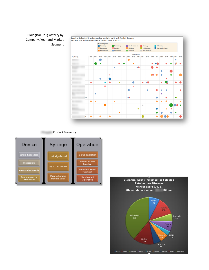Biological Drug Activity by Company, Year and Market Segment







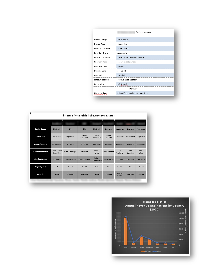|                   | Device Summary                     |
|-------------------|------------------------------------|
| Device Design     | Mechanical                         |
| Device Type       | Disposable                         |
| Primary Container | Type 1 Glass                       |
| Injection Event   | Automatic                          |
| Injection Volume  | Preset bolus injection volume      |
| Injection Rate    | Preset injection rate              |
| Drug Viscosity    | $100$ cps                          |
| Drug Volume       | $2 - 10$ mL                        |
| Drug Fill         | Prefilled                          |
| Safety/Feedback   | Passive needle safety              |
| Integrations      | <b>BD</b> Neopak                   |
|                   | <b>Partners</b>                    |
| Harro Hofliger    | Clinical/pre-production quantities |

|                          |                            | Selected Wearable Subcutaneous Injectors |                     |                           |                      |                    |                  |                 |
|--------------------------|----------------------------|------------------------------------------|---------------------|---------------------------|----------------------|--------------------|------------------|-----------------|
|                          |                            |                                          |                     |                           |                      |                    |                  |                 |
| <b>Device Design</b>     | Electronic                 | <b>EM</b>                                | <b>EM</b>           | Electronic                | Electronic           | Mechanical         | Electronic       | Mechanical      |
| Device Type              | Disposable                 | Disposable                               | Semi-<br>disposable | Semi-<br>disposable       | Semi-<br>disposable  | Disposable         | Disposable       | Disposable      |
| Needle/Cannula           | 29 a needle                | $5 - 8$ mm                               | $5 - 8$ mm          | Automatic                 | Automatic            | Automatic          | Automatic        | Automatic       |
| <b>Primary Container</b> | Cyclic Olefin<br>Cartridge | Glass Cartridge                          | Std Vials           | Type 1<br>glass           | <b>Std Container</b> | Std<br>Container   | Std<br>Container | Type 1<br>glass |
| <b>Injection Method</b>  | <b>Push Button</b>         | Programmable                             | Programmable        | Battery-<br>driven piston | Rotary pump          | Push Button        | Electronic       | Push Button     |
| Capacity (mL)            | 3.5                        | $2 - 10$                                 | $2 - 10$            | 2 mL                      | 3 mL                 | $1 - 20$           | 3 mL             | $2 - 10$        |
| Drug Fill                | Prefilled                  | Prefilled                                | Prefilled           | Prefilled                 | Cartridge            | Vial-to-<br>device | Prefilled        | Prefilled       |

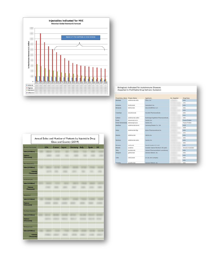

|                                              |            |        |       | Annual Sales and Number of Patients by Injectable Drug<br>Class and Country (2019) |       |           |
|----------------------------------------------|------------|--------|-------|------------------------------------------------------------------------------------|-------|-----------|
| Growth Hormones                              | <b>USA</b> | France | Japan | Germany Italy                                                                      | Spain | <b>UK</b> |
| <b>Sales (US Billion)</b>                    |            |        |       |                                                                                    |       |           |
| <b>Patients</b><br>(Thousands)               |            |        |       |                                                                                    |       |           |
| <b>Hematopoietics</b>                        |            |        |       |                                                                                    |       |           |
| <b>Sales (US Billion)</b>                    |            |        |       |                                                                                    |       |           |
| <b>Patients</b><br>(Thousands)               |            |        |       |                                                                                    |       |           |
| Autoimmune                                   |            |        |       |                                                                                    |       |           |
| <b>Sales (US Billion)</b><br><b>Patients</b> |            |        |       |                                                                                    |       |           |
| (Thousands)<br><b>Hepatitis C</b>            |            |        |       |                                                                                    |       |           |
| <b>Sales (US Billion)</b>                    |            |        |       |                                                                                    |       |           |
| <b>Patients</b><br>(Thousands)               |            |        |       |                                                                                    |       |           |
| Multiple Sclerosis                           |            |        |       |                                                                                    |       |           |
| <b>Sales (US Billion)</b>                    |            |        |       |                                                                                    |       |           |
| <b>Patients</b><br>(Thousands)               |            |        |       |                                                                                    |       |           |
| Osteoporosis                                 |            |        |       |                                                                                    |       |           |
| <b>Sales (US Billion)</b>                    |            |        |       |                                                                                    |       |           |
| <b>Patients</b><br>(Thousands)               |            |        |       |                                                                                    |       |           |

| Biologicals Indicated for Autoimmune Diseases   |  |  |
|-------------------------------------------------|--|--|
| (Supplied in Prefillable Drug Delivery Systems) |  |  |

| Proprietary Name  | Proper Name      | Applicant                            | As Supplied | <b>DrugClass</b>      |
|-------------------|------------------|--------------------------------------|-------------|-----------------------|
| Abrilada          | adalimumab-afzb  | Pfizer, Inc.                         |             | mAb                   |
|                   |                  |                                      |             | mAb                   |
| Actemra           | tocilizumab      | Generitech, Inc.                     |             | mAb                   |
| Benlysta          | belimumab        | GlaxoSmithKline LLC                  |             | máb                   |
|                   |                  |                                      |             | mAb                   |
| Cosentyx          | secukinumab      | Novartis Pharmaceuticals             |             | mAb                   |
|                   |                  |                                      |             | mAb                   |
| Cyltezo           | adalimumab-adbm  | Boehringer Ingelheim Pharmaceuticals |             | mAb                   |
| Erelzi            | etanercept-szzs  | Sandoz Inc.                          |             | <b>Fusion Protein</b> |
| Erelzi Sensoready | etanercept-szzs  | Sandoz Inc.                          |             | Fusion Protein        |
| Hadlima           | bwwd-demumabad   | Sarmsung Bioepis Co., Ltd.           |             | mAB <sup></sup>       |
|                   |                  |                                      |             | mAB                   |
| <b>Hulio</b>      | adalimumab-ficip | Mylan Pharmaceuticals Inc.           |             | mAb                   |
|                   |                  |                                      |             | mAb                   |
| Humira            | adalimumab       | AbbVie Inc.                          |             | mAb                   |
|                   |                  |                                      |             | mAb                   |
| Hyrimoz           | adalimumab-adaz  | Sandoz Inc.                          |             | mAb                   |
|                   |                  |                                      |             | mAb                   |
| Keyzara           | sarilumab        | Sanofi-Aventis U.S. LLC              |             | mãb                   |
| Kineret           | anakinra         | Swedish Orphan Biovitrum AB (publ)   |             | Immune modulator      |
| <b>Silia</b>      | brodalumab       | Valeant Pharmaceuticals Luxembourg   |             | mAb                   |
| Simponi           | golimumab        | Janssen Biotech, Inc.                |             | mAb                   |
|                   |                  |                                      |             | mAb                   |
| Taltz.            | brekizumab       | Eli Lilly and Company                |             | mAb                   |
|                   |                  |                                      |             | mAb                   |
| Tremfya           | quselkumab       | Janssen Biotech, Inc.                |             | mAb                   |